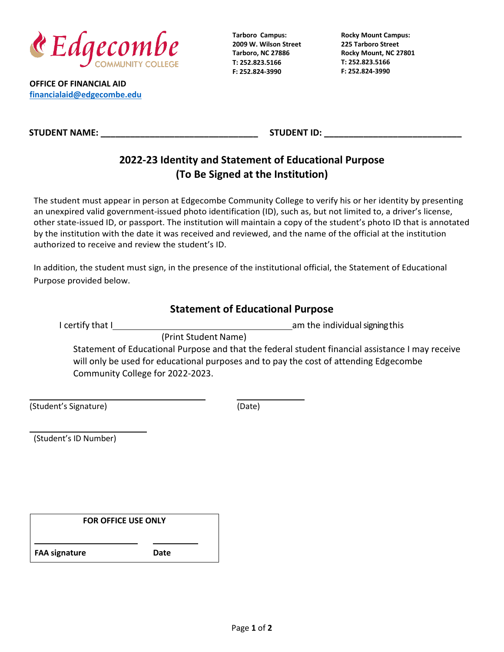

**OFFICE OF FINANCIAL AID [financialaid@edgecombe.edu](mailto:financialaid@edgecombe.edu)**

**Tarboro Campus: 2009 W. Wilson Street Tarboro, NC 27886 T: 252.823.5166 F: 252.824-3990**

**Rocky Mount Campus: 225 Tarboro Street Rocky Mount, NC 27801 T: 252.823.5166 F: 252.824-3990**

**STUDENT NAME: \_\_\_\_\_\_\_\_\_\_\_\_\_\_\_\_\_\_\_\_\_\_\_\_\_\_\_\_\_\_\_\_ STUDENT ID: \_\_\_\_\_\_\_\_\_\_\_\_\_\_\_\_\_\_\_\_\_\_\_\_\_\_\_\_**

# **2022-23 Identity and Statement of Educational Purpose (To Be Signed at the Institution)**

The student must appear in person at Edgecombe Community College to verify his or her identity by presenting an unexpired valid government-issued photo identification (ID), such as, but not limited to, a driver's license, other state-issued ID, or passport. The institution will maintain a copy of the student's photo ID that is annotated by the institution with the date it was received and reviewed, and the name of the official at the institution authorized to receive and review the student's ID.

In addition, the student must sign, in the presence of the institutional official, the Statement of Educational Purpose provided below.

## **Statement of Educational Purpose**

I certify that I am the individualsigningthis

(Print Student Name)

Statement of Educational Purpose and that the federal student financial assistance I may receive will only be used for educational purposes and to pay the cost of attending Edgecombe Community College for 2022-2023.

(Student's Signature) (Date)

(Student's ID Number)

| <b>FOR OFFICE USE ONLY</b> |      |  |
|----------------------------|------|--|
| <b>FAA signature</b>       | Date |  |